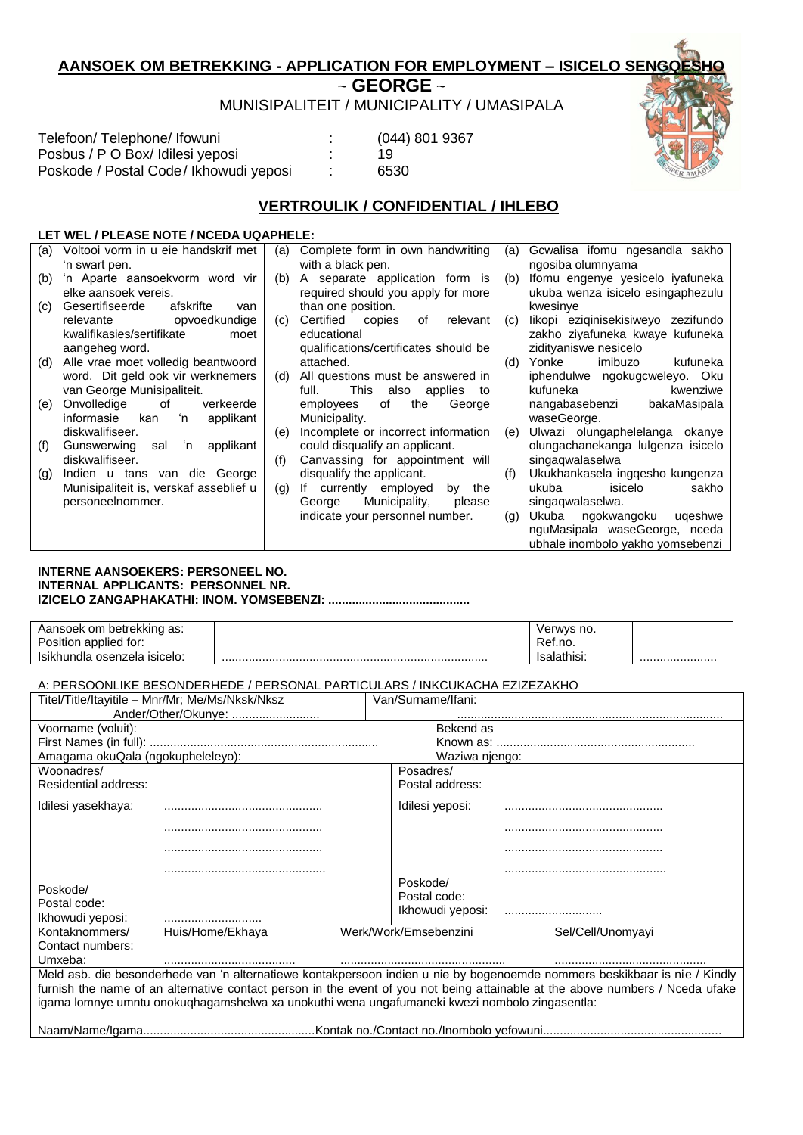# **AANSOEK OM BETREKKING - APPLICATION FOR EMPLOYMENT – ISICELO SENGQESHO**

~ **GEORGE** ~

MUNISIPALITEIT / MUNICIPALITY / UMASIPALA

| Telefoon/Telephone/Ifowuni              | $\cdot$ | $(044)$ 801 9367 |
|-----------------------------------------|---------|------------------|
| Posbus / P O Box/ Idilesi yeposi        |         | 19               |
| Poskode / Postal Code / Ikhowudi yeposi |         | 6530             |

# **VERTROULIK / CONFIDENTIAL / IHLEBO**

# **LET WEL / PLEASE NOTE / NCEDA UQAPHELE:**

| (a) | Voltooi vorm in u eie handskrif met    | (a) | Complete form in own handwriting      | (a) | Gcwalisa ifomu ngesandla sakho     |
|-----|----------------------------------------|-----|---------------------------------------|-----|------------------------------------|
|     | 'n swart pen.                          |     | with a black pen.                     |     | ngosiba olumnyama                  |
| (b) | 'n Aparte aansoekvorm word vir         | (b) | A separate application form is        | (b) | Ifomu engenye yesicelo iyafuneka   |
|     | elke aansoek vereis.                   |     | required should you apply for more    |     | ukuba wenza isicelo esingaphezulu  |
| (C) | Gesertifiseerde<br>afskrifte<br>van    |     | than one position.                    |     | kwesinye                           |
|     | opvoedkundige<br>relevante             | (c) | Certified copies<br>of<br>relevant    | (c) | likopi eziqinisekisiweyo zezifundo |
|     | kwalifikasies/sertifikate<br>moet      |     | educational                           |     | zakho ziyafuneka kwaye kufuneka    |
|     | aangeheg word.                         |     | qualifications/certificates should be |     | zidityaniswe nesicelo              |
| (d) | Alle vrae moet volledig beantwoord     |     | attached.                             | (d) | Yonke<br>imibuzo<br>kufuneka       |
|     | word. Dit geld ook vir werknemers      | (d) | All questions must be answered in     |     | iphendulwe ngokugcweleyo. Oku      |
|     | van George Munisipaliteit.             |     | This also applies<br>full.<br>to      |     | kufuneka<br>kwenziwe               |
| (e) | Onvolledige<br>verkeerde<br>of         |     | of<br>the<br>George<br>employees      |     | bakaMasipala<br>nangabasebenzi     |
|     | informasie<br>applikant<br>'n<br>kan   |     | Municipality.                         |     | waseGeorge.                        |
|     | diskwalifiseer.                        | (e) | Incomplete or incorrect information   | (e) | Ulwazi olungaphelelanga okanye     |
| (f) | ʻn applikant<br>Gunswerwing<br>sal     |     | could disqualify an applicant.        |     | olungachanekanga lulgenza isicelo  |
|     | diskwalifiseer.                        | (f) | Canvassing for appointment will       |     | singagwalaselwa                    |
| (g) | Indien u tans van die George           |     | disqualify the applicant.             | (f) | Ukukhankasela inggesho kungenza    |
|     | Munisipaliteit is, verskaf asseblief u | (g) | If currently employed<br>by the       |     | isicelo<br>ukuba<br>sakho          |
|     | personeelnommer.                       |     | Municipality,<br>please<br>George     |     | singagwalaselwa.                   |
|     |                                        |     | indicate your personnel number.       | (q) | Ukuba ngokwangoku<br>ugeshwe       |
|     |                                        |     |                                       |     | nguMasipala waseGeorge, nceda      |
|     |                                        |     |                                       |     | ubhale inombolo yakho yomsebenzi   |

#### **INTERNE AANSOEKERS: PERSONEEL NO. INTERNAL APPLICANTS: PERSONNEL NR. IZICELO ZANGAPHAKATHI: INOM. YOMSEBENZI: ..........................................**

| Aansoek om betrekking as:    | Verwys no.  |  |
|------------------------------|-------------|--|
| Position applied for:        | Ref.no.     |  |
| Isikhundla osenzela isicelo: | Isalathisi: |  |

## A: PERSOONLIKE BESONDERHEDE / PERSONAL PARTICULARS / INKCUKACHA EZIZEZAKHO

| Titel/Title/Itayitile - Mnr/Mr; Me/Ms/Nksk/Nksz                                               |                  | Van/Surname/Ifani: |                       |                                                                                                                               |  |  |
|-----------------------------------------------------------------------------------------------|------------------|--------------------|-----------------------|-------------------------------------------------------------------------------------------------------------------------------|--|--|
| Ander/Other/Okunye:                                                                           |                  |                    |                       |                                                                                                                               |  |  |
| Voorname (voluit):                                                                            |                  |                    | Bekend as             |                                                                                                                               |  |  |
|                                                                                               |                  |                    |                       |                                                                                                                               |  |  |
| Amagama okuQala (ngokupheleleyo):                                                             |                  |                    | Waziwa njengo:        |                                                                                                                               |  |  |
| Woonadres/                                                                                    |                  |                    | Posadres/             |                                                                                                                               |  |  |
| <b>Residential address:</b>                                                                   |                  |                    | Postal address:       |                                                                                                                               |  |  |
| Idilesi yasekhaya:                                                                            |                  |                    | Idilesi yeposi:       |                                                                                                                               |  |  |
|                                                                                               |                  |                    |                       |                                                                                                                               |  |  |
|                                                                                               |                  |                    |                       |                                                                                                                               |  |  |
|                                                                                               |                  |                    |                       |                                                                                                                               |  |  |
| Poskode/                                                                                      |                  |                    | Poskode/              |                                                                                                                               |  |  |
| Postal code:                                                                                  |                  |                    | Postal code:          |                                                                                                                               |  |  |
| Ikhowudi yeposi:                                                                              |                  |                    | Ikhowudi yeposi:      |                                                                                                                               |  |  |
| Kontaknommers/                                                                                | Huis/Home/Ekhaya |                    | Werk/Work/Emsebenzini | Sel/Cell/Unomyayi                                                                                                             |  |  |
| Contact numbers:                                                                              |                  |                    |                       |                                                                                                                               |  |  |
| Umxeba:                                                                                       |                  |                    |                       |                                                                                                                               |  |  |
|                                                                                               |                  |                    |                       | Meld asb. die besonderhede van 'n alternatiewe kontakpersoon indien u nie by bogenoemde nommers beskikbaar is nie / Kindly    |  |  |
|                                                                                               |                  |                    |                       | furnish the name of an alternative contact person in the event of you not being attainable at the above numbers / Nceda ufake |  |  |
| igama lomnye umntu onokuqhagamshelwa xa unokuthi wena ungafumaneki kwezi nombolo zingasentla: |                  |                    |                       |                                                                                                                               |  |  |
|                                                                                               |                  |                    |                       |                                                                                                                               |  |  |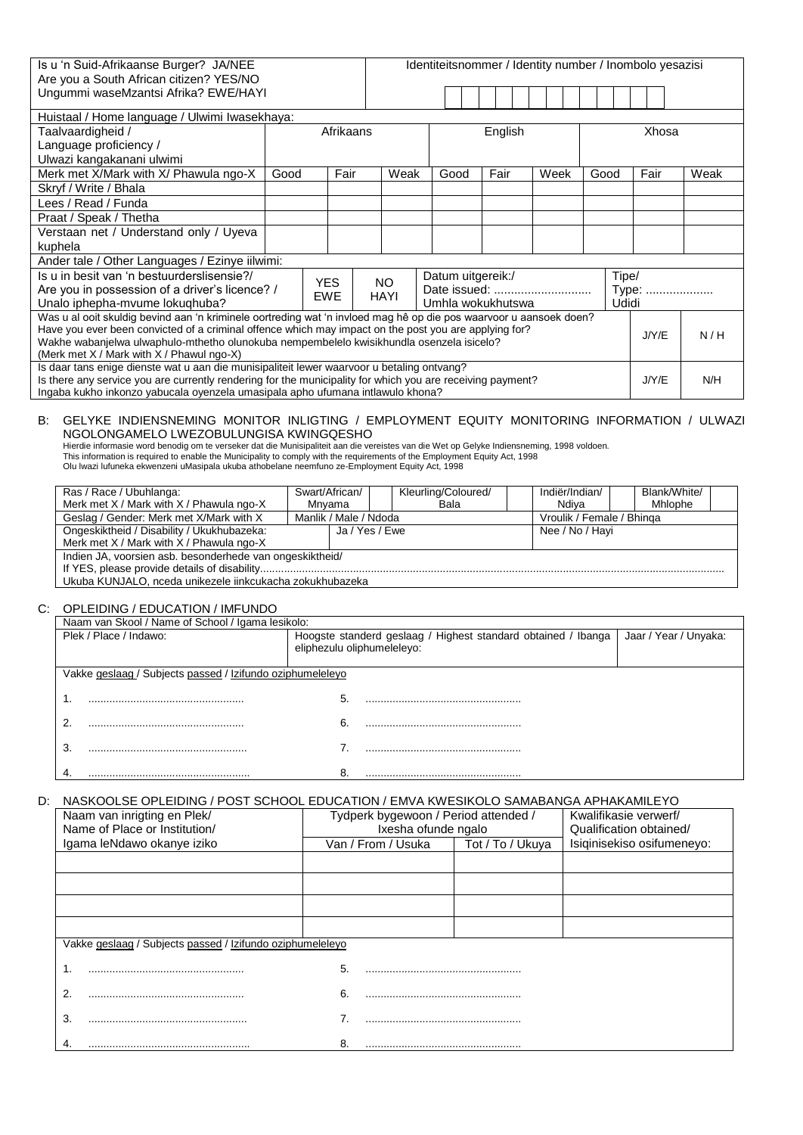| Is u 'n Suid-Afrikaanse Burger? JA/NEE                                                                             |      |            |           | Identiteitsnommer / Identity number / Inombolo yesazisi |                   |         |       |      |       |       |      |
|--------------------------------------------------------------------------------------------------------------------|------|------------|-----------|---------------------------------------------------------|-------------------|---------|-------|------|-------|-------|------|
| Are you a South African citizen? YES/NO                                                                            |      |            |           |                                                         |                   |         |       |      |       |       |      |
| Ungummi waseMzantsi Afrika? EWE/HAYI                                                                               |      |            |           |                                                         |                   |         |       |      |       |       |      |
|                                                                                                                    |      |            |           |                                                         |                   |         |       |      |       |       |      |
| Huistaal / Home language / Ulwimi Iwasekhaya:                                                                      |      |            |           |                                                         |                   |         |       |      |       |       |      |
| Taalvaardigheid /                                                                                                  |      |            | Afrikaans |                                                         |                   | English |       |      |       | Xhosa |      |
| Language proficiency /                                                                                             |      |            |           |                                                         |                   |         |       |      |       |       |      |
| Ulwazi kangakanani ulwimi                                                                                          |      |            |           |                                                         |                   |         |       |      |       |       |      |
| Merk met X/Mark with X/ Phawula ngo-X                                                                              | Good |            | Fair      | Weak                                                    | Good              | Fair    | Week  | Good |       | Fair  | Weak |
| Skryf / Write / Bhala                                                                                              |      |            |           |                                                         |                   |         |       |      |       |       |      |
| Lees / Read / Funda                                                                                                |      |            |           |                                                         |                   |         |       |      |       |       |      |
| Praat / Speak / Thetha                                                                                             |      |            |           |                                                         |                   |         |       |      |       |       |      |
| Verstaan net / Understand only / Uyeva                                                                             |      |            |           |                                                         |                   |         |       |      |       |       |      |
| kuphela                                                                                                            |      |            |           |                                                         |                   |         |       |      |       |       |      |
| Ander tale / Other Languages / Ezinye iilwimi:                                                                     |      |            |           |                                                         |                   |         |       |      |       |       |      |
| Is u in besit van 'n bestuurderslisensie?/                                                                         |      | <b>YES</b> |           |                                                         | Datum uitgereik:/ |         |       |      | Tipe/ |       |      |
| Are you in possession of a driver's licence? /                                                                     |      |            |           | NO.<br>Date issued:                                     |                   |         | Type: |      |       |       |      |
| Unalo iphepha-mvume lokuqhuba?                                                                                     |      | <b>EWE</b> |           | HAYI<br>Umhla wokukhutswa<br>Udidi                      |                   |         |       |      |       |       |      |
| Was u al ooit skuldig bevind aan 'n kriminele oortreding wat 'n invloed mag hê op die pos waarvoor u aansoek doen? |      |            |           |                                                         |                   |         |       |      |       |       |      |
| Have you ever been convicted of a criminal offence which may impact on the post you are applying for?              |      |            |           |                                                         |                   |         |       |      |       | J/Y/E | N/H  |
| Wakhe wabanjelwa ulwaphulo-mthetho olunokuba nempembelelo kwisikhundla osenzela isicelo?                           |      |            |           |                                                         |                   |         |       |      |       |       |      |
| (Merk met $X /$ Mark with $X /$ Phawul ngo-X)                                                                      |      |            |           |                                                         |                   |         |       |      |       |       |      |
| Is daar tans enige dienste wat u aan die munisipaliteit lewer waarvoor u betaling ontvang?                         |      |            |           |                                                         |                   |         |       |      |       |       |      |
| Is there any service you are currently rendering for the municipality for which you are receiving payment?         |      |            |           |                                                         |                   |         |       |      |       | J/Y/E | N/H  |
| Ingaba kukho inkonzo yabucala oyenzela umasipala apho ufumana intlawulo khona?                                     |      |            |           |                                                         |                   |         |       |      |       |       |      |

### B: GELYKE INDIENSNEMING MONITOR INLIGTING / EMPLOYMENT EQUITY MONITORING INFORMATION / ULWAZI NGOLONGAMELO LWEZOBULUNGISA KWINGQESHO

Hierdie informasie word benodig om te verseker dat die Munisipaliteit aan die vereistes van die Wet op Gelyke Indiensneming, 1998 voldoen. This information is required to enable the Municipality to comply with the requirements of the Employment Equity Act, 1998 Olu lwazi lufuneka ekwenzeni uMasipala ukuba athobelane neemfuno ze-Employment Equity Act, 1998

| Ras / Race / Ubuhlanga:<br>Merk met X / Mark with X / Phawula ngo-X | Swart/African/<br>Mnvama |  | Kleurling/Coloured/<br>Bala |                           | Indiër/Indian/<br>Ndiva |  | Blank/White/<br>Mhlophe |  |
|---------------------------------------------------------------------|--------------------------|--|-----------------------------|---------------------------|-------------------------|--|-------------------------|--|
| Geslag / Gender: Merk met X/Mark with X                             | Manlik / Male / Ndoda    |  |                             | Vroulik / Female / Bhinga |                         |  |                         |  |
| Ongeskiktheid / Disability / Ukukhubazeka:                          | Ja / Yes / Ewe           |  |                             | Nee / No / Havi           |                         |  |                         |  |
| Merk met X / Mark with X / Phawula ngo-X                            |                          |  |                             |                           |                         |  |                         |  |
| Indien JA, voorsien asb. besonderhede van ongeskiktheid/            |                          |  |                             |                           |                         |  |                         |  |
|                                                                     |                          |  |                             |                           |                         |  |                         |  |
| Ukuba KUNJALO, nceda unikezele iinkcukacha zokukhubazeka            |                          |  |                             |                           |                         |  |                         |  |

#### C: OPLEIDING / EDUCATION / IMFUNDO

| Naam van Skool / Name of School / Igama lesikolo:         |                                                                                             |                       |  |  |  |  |
|-----------------------------------------------------------|---------------------------------------------------------------------------------------------|-----------------------|--|--|--|--|
| Plek / Place / Indawo:                                    | Hoogste standerd geslaag / Highest standard obtained / Ibanga<br>eliphezulu oliphumeleleyo: | Jaar / Year / Unyaka: |  |  |  |  |
| Vakke geslaag / Subjects passed / Izifundo oziphumeleleyo |                                                                                             |                       |  |  |  |  |
|                                                           | 5.                                                                                          |                       |  |  |  |  |
|                                                           | 6.                                                                                          |                       |  |  |  |  |
| J.                                                        |                                                                                             |                       |  |  |  |  |
|                                                           |                                                                                             |                       |  |  |  |  |

## D: NASKOOLSE OPLEIDING / POST SCHOOL EDUCATION / EMVA KWESIKOLO SAMABANGA APHAKAMILEYO

| Naam van inrigting en Plek/<br>Name of Place or Institution/ |    | Tydperk bygewoon / Period attended /<br>Ixesha ofunde ngalo | Kwalifikasie verwerf/<br>Qualification obtained/ |                            |  |
|--------------------------------------------------------------|----|-------------------------------------------------------------|--------------------------------------------------|----------------------------|--|
| Igama leNdawo okanye iziko                                   |    | Van / From / Usuka                                          | Tot / To / Ukuya                                 | Isiginisekiso osifumeneyo: |  |
|                                                              |    |                                                             |                                                  |                            |  |
|                                                              |    |                                                             |                                                  |                            |  |
|                                                              |    |                                                             |                                                  |                            |  |
|                                                              |    |                                                             |                                                  |                            |  |
| Vakke geslaag / Subjects passed / Izifundo oziphumeleleyo    |    |                                                             |                                                  |                            |  |
|                                                              | 5. |                                                             |                                                  |                            |  |
| 2                                                            | 6. |                                                             |                                                  |                            |  |
| 3.                                                           |    |                                                             |                                                  |                            |  |
|                                                              | 8. |                                                             |                                                  |                            |  |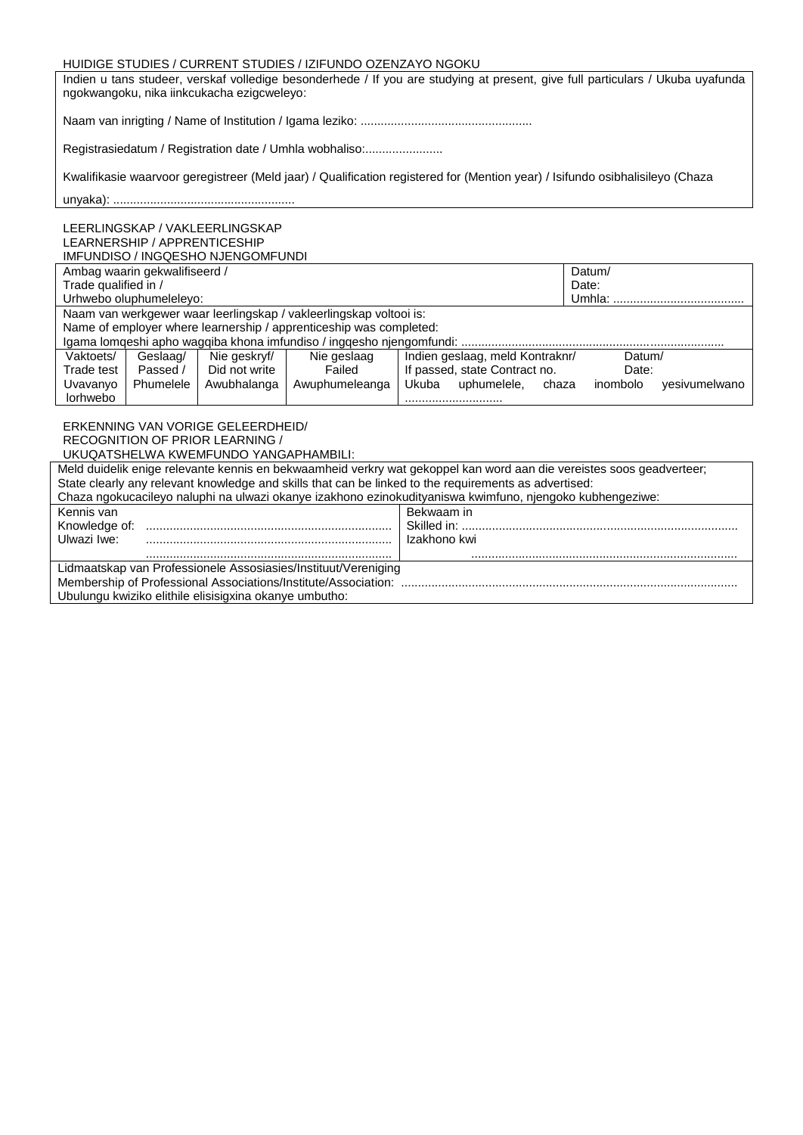#### HUIDIGE STUDIES / CURRENT STUDIES / IZIFUNDO OZENZAYO NGOKU

Indien u tans studeer, verskaf volledige besonderhede / If you are studying at present, give full particulars / Ukuba uyafunda ngokwangoku, nika iinkcukacha ezigcweleyo:

Naam van inrigting / Name of Institution / Igama leziko: ...................................................

Registrasiedatum / Registration date / Umhla wobhaliso:........................

Kwalifikasie waarvoor geregistreer (Meld jaar) / Qualification registered for (Mention year) / Isifundo osibhalisileyo (Chaza

#### unyaka): ......................................................

LEERLINGSKAP / VAKLEERLINGSKAP LEARNERSHIP / APPRENTICESHIP IMFUNDISO / INGQESHO NJENGOMFUNDI

|                      | Ambag waarin gekwalifiseerd / |               |                                                                        | Datum/                          |                           |
|----------------------|-------------------------------|---------------|------------------------------------------------------------------------|---------------------------------|---------------------------|
| Trade qualified in / |                               |               |                                                                        | Date:                           |                           |
|                      | Urhwebo oluphumelelevo:       |               |                                                                        | Umhla:                          |                           |
|                      |                               |               | Naam van werkgewer waar leerlingskap / vakleerlingskap voltooi is:     |                                 |                           |
|                      |                               |               | Name of employer where learnership / apprenticeship was completed:     |                                 |                           |
|                      |                               |               | Igama lomgeshi apho wagqiba khona imfundiso / ingqesho njengomfundi: . |                                 |                           |
| Vaktoets/            | Geslaag/                      | Nie geskryf/  | Nie geslaag                                                            | Indien geslaag, meld Kontraknr/ | Datum/                    |
| Trade test           | Passed /                      | Did not write | Failed                                                                 | If passed, state Contract no.   | Date:                     |
| Uvavanyo             | Phumelele                     | Awubhalanga   | Awuphumeleanga                                                         | Ukuba<br>uphumelele.<br>chaza   | inombolo<br>vesivumelwano |
| lorhwebo             |                               |               |                                                                        |                                 |                           |

#### ERKENNING VAN VORIGE GELEERDHEID/ RECOGNITION OF PRIOR LEARNING / UKUQATSHELWA KWEMFUNDO YANGAPHAMBILI:

| <u> 80082008 - 1890 - 1890 - 1890 - 1890 - 1890 - 1891 - 1891 - 1891 - 1891 - 1891 - 1891 - 1891 - 1891 - 1891 - 1</u> |                                                                                                                      |  |  |  |  |
|------------------------------------------------------------------------------------------------------------------------|----------------------------------------------------------------------------------------------------------------------|--|--|--|--|
|                                                                                                                        | Meld duidelik enige relevante kennis en bekwaamheid verkry wat gekoppel kan word aan die vereistes soos geadverteer; |  |  |  |  |
|                                                                                                                        | State clearly any relevant knowledge and skills that can be linked to the requirements as advertised:                |  |  |  |  |
| Chaza ngokucacileyo naluphi na ulwazi okanye izakhono ezinokudityaniswa kwimfuno, njengoko kubhengeziwe:               |                                                                                                                      |  |  |  |  |
| Kennis van                                                                                                             | Bekwaam in                                                                                                           |  |  |  |  |
| Knowledge of:                                                                                                          |                                                                                                                      |  |  |  |  |
| Ulwazi Iwe:                                                                                                            | Izakhono kwi                                                                                                         |  |  |  |  |
|                                                                                                                        |                                                                                                                      |  |  |  |  |
| Lidmaatskap van Professionele Assosiasies/Instituut/Vereniging                                                         |                                                                                                                      |  |  |  |  |
|                                                                                                                        |                                                                                                                      |  |  |  |  |
| Ubulungu kwiziko elithile elisisigxina okanye umbutho:                                                                 |                                                                                                                      |  |  |  |  |
|                                                                                                                        |                                                                                                                      |  |  |  |  |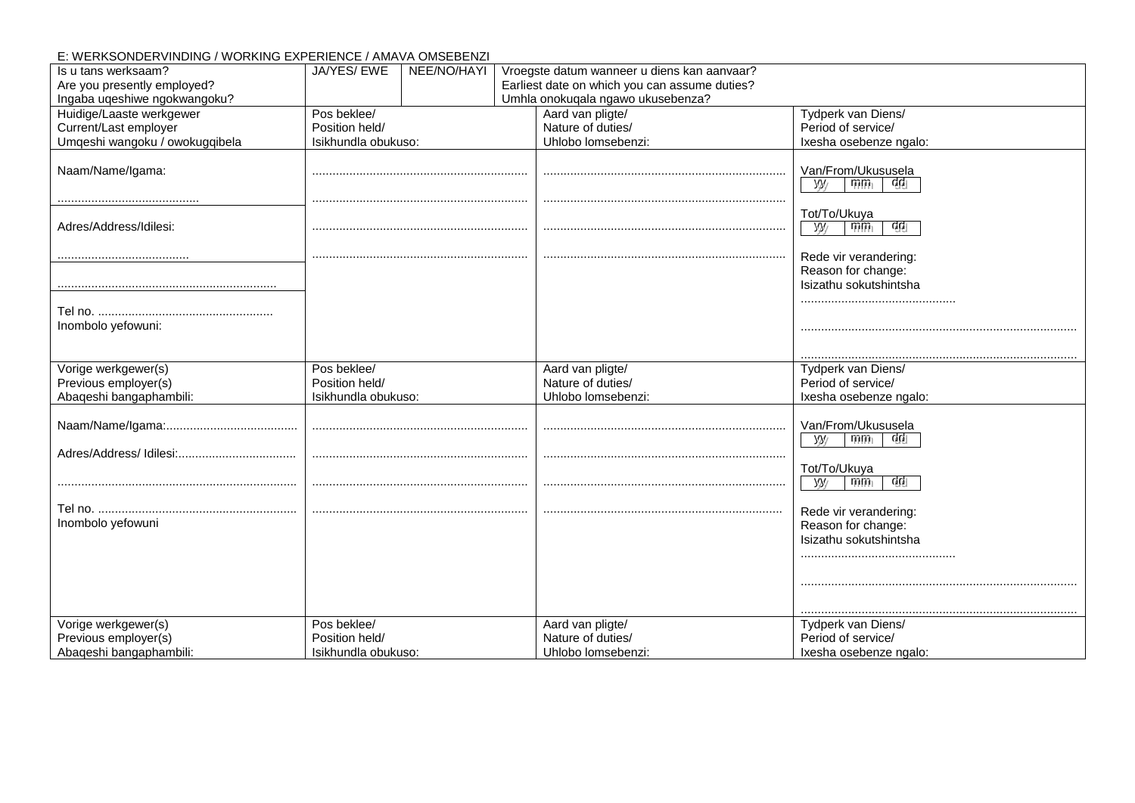# E: WERKSONDERVINDING / WORKING EXPERIENCE / AMAVA OMSEBENZI

| Is u tans werksaam?                             | JA/YES/ EWE                           | NEE/NO/HAYI | Vroegste datum wanneer u diens kan aanvaar?   |                                                       |
|-------------------------------------------------|---------------------------------------|-------------|-----------------------------------------------|-------------------------------------------------------|
| Are you presently employed?                     |                                       |             | Earliest date on which you can assume duties? |                                                       |
| Ingaba uqeshiwe ngokwangoku?                    |                                       |             | Umhla onokuqala ngawo ukusebenza?             |                                                       |
| Huidige/Laaste werkgewer                        | Pos beklee/                           |             | Aard van pligte/                              | Tydperk van Diens/                                    |
| Current/Last employer                           | Position held/                        |             | Nature of duties/                             | Period of service/                                    |
| Umqeshi wangoku / owokugqibela                  | Isikhundla obukuso:                   |             | Uhlobo lomsebenzi:                            | Ixesha osebenze ngalo:                                |
| Naam/Name/Igama:                                |                                       |             |                                               | Van/From/Ukususela                                    |
|                                                 |                                       |             |                                               | $\overline{m}$<br>ुद्री<br>$y_y$                      |
| Adres/Address/Idilesi:                          |                                       |             |                                               | Tot/To/Ukuya<br>ଔଧ<br>$\overline{m}$<br>yy/           |
|                                                 |                                       |             |                                               | Rede vir verandering:<br>Reason for change:           |
|                                                 |                                       |             |                                               | Isizathu sokutshintsha                                |
| Inombolo yefowuni:                              |                                       |             |                                               |                                                       |
|                                                 |                                       |             |                                               |                                                       |
|                                                 |                                       |             |                                               |                                                       |
| Vorige werkgewer(s)                             | Pos beklee/                           |             | Aard van pligte/                              | Tydperk van Diens/                                    |
| Previous employer(s)                            | Position held/                        |             | Nature of duties/                             | Period of service/                                    |
| Abaqeshi bangaphambili:                         | Isikhundla obukuso:                   |             | Uhlobo lomsebenzi:                            | Ixesha osebenze ngalo:                                |
|                                                 |                                       |             |                                               | Van/From/Ukususela<br>$\overline{m}$<br>ुद्री<br>y/y' |
|                                                 |                                       |             |                                               | Tot/To/Ukuya                                          |
|                                                 |                                       |             |                                               | ଔଧ<br>$m_{\tilde{1}}$<br>$y_{y}$                      |
|                                                 |                                       |             |                                               | Rede vir verandering:                                 |
| Inombolo yefowuni                               |                                       |             |                                               | Reason for change:                                    |
|                                                 |                                       |             |                                               | Isizathu sokutshintsha                                |
|                                                 |                                       |             |                                               |                                                       |
|                                                 |                                       |             |                                               |                                                       |
| Vorige werkgewer(s)                             | Pos beklee/                           |             | Aard van pligte/                              | Tydperk van Diens/                                    |
| Previous employer(s)<br>Abaqeshi bangaphambili: | Position held/<br>Isikhundla obukuso: |             | Nature of duties/<br>Uhlobo lomsebenzi:       | Period of service/                                    |